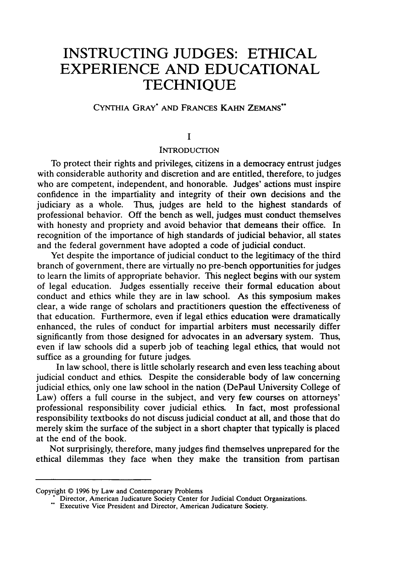# **INSTRUCTING JUDGES: ETHICAL EXPERIENCE AND EDUCATIONAL TECHNIQUE**

# CYNTHIA GRAY\* **AND** FRANCES **KAHN ZEMANS\*\***

# **I**

## **INTRODUCTION**

To protect their rights and privileges, citizens in a democracy entrust judges with considerable authority and discretion and are entitled, therefore, to judges who are competent, independent, and honorable. Judges' actions must inspire confidence in the impartiality and integrity of their own decisions and the judiciary as a whole. Thus, judges are held to the highest standards of professional behavior. Off the bench as well, judges must conduct themselves with honesty and propriety and avoid behavior that demeans their office. In recognition of the importance of high standards of judicial behavior, all states and the federal government have adopted a code of judicial conduct.

Yet despite the importance of judicial conduct to the legitimacy of the third branch of government, there are virtually no pre-bench opportunities for judges to learn the limits of appropriate behavior. This neglect begins with our system of legal education. Judges essentially receive their formal education about conduct and ethics while they are in law school. As this symposium makes clear, a wide range of scholars and practitioners question the effectiveness of that education. Furthermore, even if legal ethics education were dramatically enhanced, the rules of conduct for impartial arbiters must necessarily differ significantly from those designed for advocates in an adversary system. Thus, even if law schools did a superb job of teaching legal ethics, that would not suffice as a grounding for future judges.

In law school, there is little scholarly research and even less teaching about judicial conduct and ethics. Despite the considerable body of law concerning judicial ethics, only one law school in the nation (DePaul University College of Law) offers a full course in the subject, and very few courses on attorneys' professional responsibility cover judicial ethics. In fact, most professional responsibility textbooks do not discuss judicial conduct at all, and those that do merely skim the surface of the subject in a short chapter that typically is placed at the end of the book.

Not surprisingly, therefore, many judges find themselves unprepared for the ethical dilemmas they face when they make the transition from partisan

Copyright © 1996 by Law and Contemporary Problems

gnt Survey Director, American Judicature Society Center for Judicial Conduct Organizations.<br>Director, American Judicature Society Center for Judicial Conduct Organizations.<br>Executive Vice President and Director, American J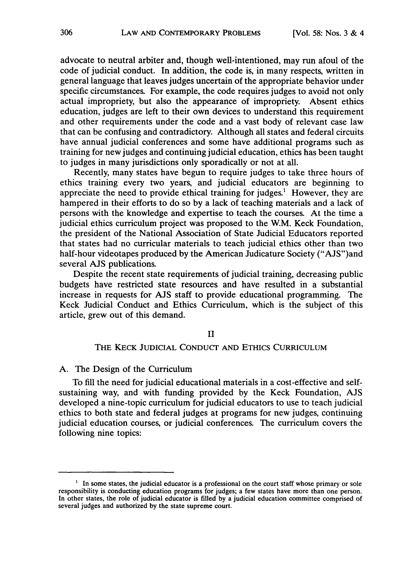advocate to neutral arbiter and, though well-intentioned, may run afoul of the code of judicial conduct. In addition, the code is, in many respects, written in general language that leaves judges uncertain of the appropriate behavior under specific circumstances. For example, the code requires judges to avoid not only actual impropriety, but also the appearance of impropriety. Absent ethics education, judges are left to their own devices to understand this requirement and other requirements under the code and a vast body of relevant case law that can be confusing and contradictory. Although all states and federal circuits have annual judicial conferences and some have additional programs such as training for new judges and continuing judicial education, ethics has been taught to judges in many jurisdictions only sporadically or not at all.

Recently, many states have begun to require judges to take three hours of ethics training every two years, and judicial educators are beginning to appreciate the need to provide ethical training for judges.' However, they are hampered in their efforts to do so by a lack of teaching materials and a lack of persons with the knowledge and expertise to teach the courses. At the time a judicial ethics curriculum project was proposed to the W.M. Keck Foundation, the president of the National Association of State Judicial Educators reported that states had no curricular materials to teach judicial ethics other than two half-hour videotapes produced by the American Judicature Society ("AJS")and several AJS publications.

Despite the recent state requirements of judicial training, decreasing public budgets have restricted state resources and have resulted in a substantial increase in requests for AJS staff to provide educational programming. The Keck Judicial Conduct and Ethics Curriculum, which is the subject of this article, grew out of this demand.

## II

#### THE KECK JUDICIAL CONDUCT AND ETHICS CURRICULUM

## A. The Design of the Curriculum

To fill the need for judicial educational materials in a cost-effective and selfsustaining way, and with funding provided by the Keck Foundation, AJS developed a nine-topic curriculum for judicial educators to use to teach judicial ethics to both state and federal judges at programs for new judges, continuing judicial education courses, or judicial conferences. The curriculum covers the following nine topics:

<sup>&</sup>lt;sup>1</sup> In some states, the judicial educator is a professional on the court staff whose primary or sole responsibility is conducting education programs for judges; a few states have more than one person. In other states, the role of judicial educator is filled by a judicial education committee comprised of several judges and authorized by the state supreme court.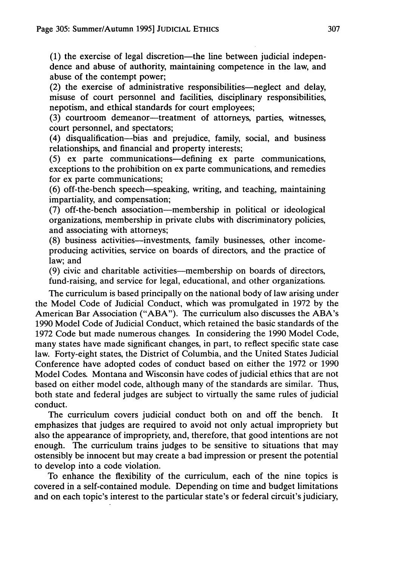$(1)$  the exercise of legal discretion—the line between judicial independence and abuse of authority, maintaining competence in the law, and abuse of the contempt power;

 $(2)$  the exercise of administrative responsibilities—neglect and delay, misuse of court personnel and facilities, disciplinary responsibilities, nepotism, and ethical standards for court employees;

(3) courtroom demeanor-treatment of attorneys, parties, witnesses, court personnel, and spectators;

(4) disqualification-bias and prejudice, family, social, and business relationships, and financial and property interests;

(5) ex parte communications-defining ex parte communications, exceptions to the prohibition on ex parte communications, and remedies for ex parte communications;

(6) off-the-bench speech-speaking, writing, and teaching, maintaining impartiality, and compensation;

(7) off-the-bench association-membership in political or ideological organizations, membership in private clubs with discriminatory policies, and associating with attorneys;

(8) business activities-investments, family businesses, other incomeproducing activities, service on boards of directors, and the practice of law; and

(9) civic and charitable activities—membership on boards of directors, fund-raising, and service for legal, educational, and other organizations.

The curriculum is based principally on the national body of law arising under the Model Code of Judicial Conduct, which was promulgated in 1972 by the American Bar Association ("ABA"). The curriculum also discusses the ABA's 1990 Model Code of Judicial Conduct, which retained the basic standards of the 1972 Code but made numerous changes. In considering the 1990 Model Code, many states have made significant changes, in part, to reflect specific state case law. Forty-eight states, the District of Columbia, and the United States Judicial Conference have adopted codes of conduct based on either the 1972 or 1990 Model Codes. Montana and Wisconsin have codes of judicial ethics that are not based on either model code, although many of the standards are similar. Thus, both state and federal judges are subject to virtually the same rules of judicial conduct.

The curriculum covers judicial conduct both on and off the bench. It emphasizes that judges are required to avoid not only actual impropriety but also the appearance of impropriety, and, therefore, that good intentions are not enough. The curriculum trains judges to be sensitive to situations that may ostensibly be innocent but may create a bad impression or present the potential to develop into a code violation.

To enhance the flexibility of the curriculum, each of the nine topics is covered in a self-contained module. Depending on time and budget limitations and on each topic's interest to the particular state's or federal circuit's judiciary,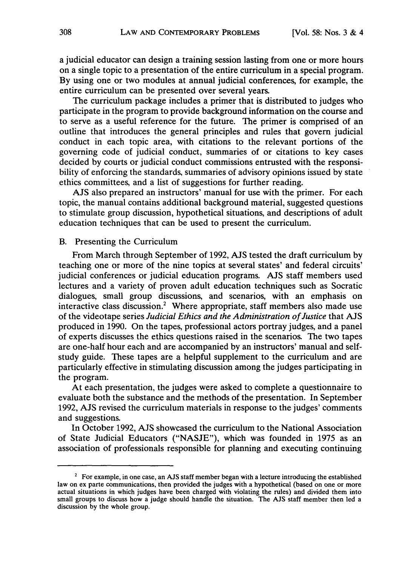a judicial educator can design a training session lasting from one or more hours on a single topic to a presentation of the entire curriculum in a special program. By using one or two modules at annual judicial conferences, for example, the entire curriculum can be presented over several years.

The curriculum package includes a primer that is distributed to judges who participate in the program to provide background information on the course and to serve as a useful reference for the future. The primer is comprised of an outline that introduces the general principles and rules that govern judicial conduct in each topic area, with citations to the relevant portions of the governing code of judicial conduct, summaries of or citations to key cases decided by courts or judicial conduct commissions entrusted with the responsibility of enforcing the standards, summaries of advisory opinions issued by state ethics committees, and a list of suggestions for further reading.

AJS also prepared an instructors' manual for use with the primer. For each topic, the manual contains additional background material, suggested questions to stimulate group discussion, hypothetical situations, and descriptions of adult education techniques that can be used to present the curriculum.

#### B. Presenting the Curriculum

From March through September of 1992, AJS tested the draft curriculum by teaching one or more of the nine topics at several states' and federal circuits' judicial conferences or judicial education programs. **AJS** staff members used lectures and a variety of proven adult education techniques such as Socratic dialogues, small group discussions, and scenarios, with an emphasis on interactive class discussion.<sup>2</sup> Where appropriate, staff members also made use of the videotape series *Judicial Ethics and the Administration of Justice* that AJS produced in 1990. On the tapes, professional actors portray judges, and a panel of experts discusses the ethics questions raised in the scenarios. The two tapes are one-half hour each and are accompanied by an instructors' manual and selfstudy guide. These tapes are a helpful supplement to the curriculum and are particularly effective in stimulating discussion among the judges participating in the program.

At each presentation, the judges were asked to complete a questionnaire to evaluate both the substance and the methods of the presentation. In September 1992, AJS revised the curriculum materials in response to the judges' comments and suggestions.

In October 1992, AJS showcased the curriculum to the National Association of State Judicial Educators ("NASJE"), which was founded in 1975 as an association of professionals responsible for planning and executing continuing

 $2^2$  For example, in one case, an AJS staff member began with a lecture introducing the established law on ex parte communications, then provided the judges with a hypothetical (based on one or more actual situations in which judges have been charged with violating the rules) and divided them into small groups to discuss how a judge should handle the situation. The AJS staff member then led a discussion by the whole group.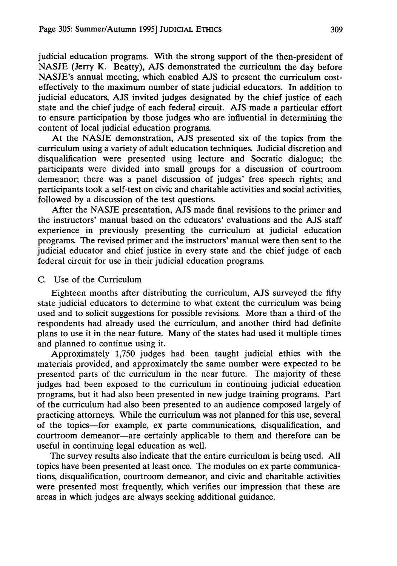judicial education programs. With the strong support of the then-president of NASJE (Jerry K. Beatty), AJS demonstrated the curriculum the day before NASJE's annual meeting, which enabled AJS to present the curriculum costeffectively to the maximum number of state judicial educators. In addition to judicial educators, AJS invited judges designated by the chief justice of each state and the chief judge of each federal circuit. AJS made a particular effort to ensure participation by those judges who are influential in determining the content of local judicial education programs.

At the NASJE demonstration, AJS presented six of the topics from the curriculum using a variety of adult education techniques. Judicial discretion and disqualification were presented using lecture and Socratic dialogue; the participants were divided into small groups for a discussion of courtroom demeanor; there was a panel discussion of judges' free speech rights; and participants took a self-test on civic and charitable activities and social activities, followed by a discussion of the test questions.

After the NASJE presentation, AJS made final revisions to the primer and the instructors' manual based on the educators' evaluations and the AJS staff experience in previously presenting the curriculum at judicial education programs. The revised primer and the instructors' manual were then sent to the judicial educator and chief justice in every state and the chief judge of each federal circuit for use in their judicial education programs.

#### C. Use of the Curriculum

Eighteen months after distributing the curriculum, AJS surveyed the fifty state judicial educators to determine to what extent the curriculum was being used and to solicit suggestions for possible revisions. More than a third of the respondents had already used the curriculum, and another third had definite plans to use it in the near future. Many of the states had used it multiple times and planned to continue using it.

Approximately 1,750 judges had been taught judicial ethics with the materials provided, and approximately the same number were expected to be presented parts of the curriculum in the near future. The majority of these judges had been exposed to the curriculum in continuing judicial education programs, but it had also been presented in new judge training programs. Part of the curriculum had also been presented to an audience composed largely of practicing attorneys. While the curriculum was not planned for this use, several of the topics-for example, ex parte communications, disqualification, and courtroom demeanor-are certainly applicable to them and therefore can be useful in continuing legal education as well.

The survey results also indicate that the entire curriculum is being used. All topics have been presented at least once. The modules on ex parte communications, disqualification, courtroom demeanor, and civic and charitable activities were presented most frequently, which verifies our impression that these are areas in which judges are always seeking additional guidance.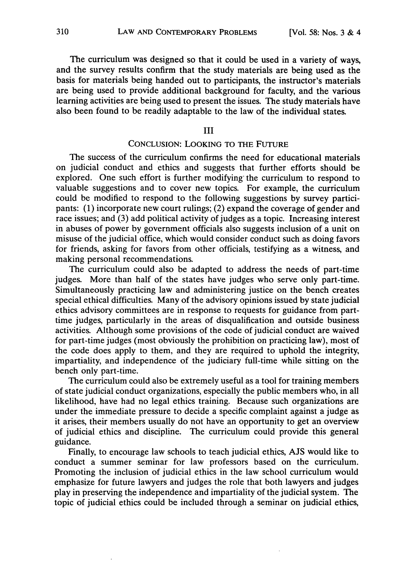The curriculum was designed so that it could be used in a variety of ways, and the survey results confirm that the study materials are being used as the basis for materials being handed out to participants, the instructor's materials are being used to provide additional background for faculty, and the various learning activities are being used to present the issues. The study materials have also been found to be readily adaptable to the law of the individual states.

III

#### **CONCLUSION:** LOOKING TO THE **FUTURE**

The success of the curriculum confirms the need for educational materials on judicial conduct and ethics and suggests that further efforts should be explored. One such effort is further modifying the curriculum to respond to valuable suggestions and to cover new topics. For example, the curriculum could be modified to respond to the following suggestions by survey participants: **(1)** incorporate new court rulings; (2) expand the coverage of gender and race issues; and (3) add political activity of judges as a topic. Increasing interest in abuses of power by government officials also suggests inclusion of a unit on misuse of the judicial office, which would consider conduct such as doing favors for friends, asking for favors from other officials, testifying as a witness, and making personal recommendations.

The curriculum could also be adapted to address the needs of part-time judges. More than half of the states have judges who serve only part-time. Simultaneously practicing law and administering justice on the bench creates special ethical difficulties. Many of the advisory opinions issued by state judicial ethics advisory committees are in response to requests for guidance from parttime judges, particularly in the areas of disqualification and outside business activities. Although some provisions of the code of judicial conduct are waived for part-time judges (most obviously the prohibition on practicing law), most of the code does apply to them, and they are required to uphold the integrity, impartiality, and independence of the judiciary full-time while sitting on the bench only part-time.

The curriculum could also be extremely useful as a tool for training members of state judicial conduct organizations, especially the public members who, in all likelihood, have had no legal ethics training. Because such organizations are under the immediate pressure to decide a specific complaint against a judge as it arises, their members usually do not have an opportunity to get an overview of judicial ethics and discipline. The curriculum could provide this general guidance.

Finally, to encourage law schools to teach judicial ethics, AJS would like to conduct a summer seminar for law professors based on the curriculum. Promoting the inclusion of judicial ethics in the law school curriculum would emphasize for future lawyers and judges the role that both lawyers and judges play in preserving the independence and impartiality of the judicial system. The topic of judicial ethics could be included through a seminar on judicial ethics,